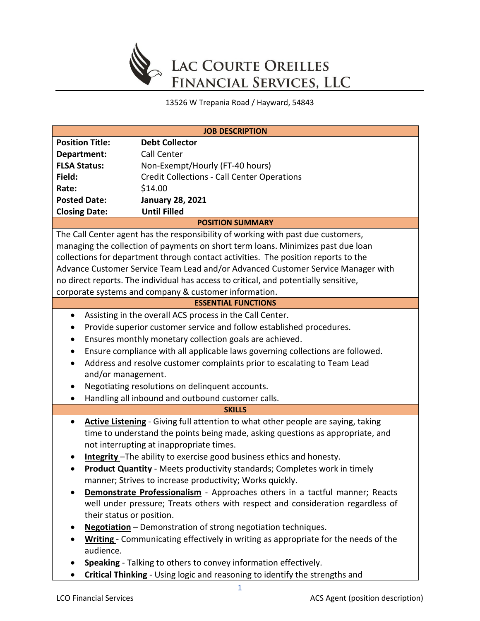

13526 W Trepania Road / Hayward, 54843

| <b>JOB DESCRIPTION</b>                                                                      |                                                                                      |  |  |  |
|---------------------------------------------------------------------------------------------|--------------------------------------------------------------------------------------|--|--|--|
| <b>Position Title:</b>                                                                      | <b>Debt Collector</b>                                                                |  |  |  |
| Department:                                                                                 | Call Center                                                                          |  |  |  |
| <b>FLSA Status:</b>                                                                         | Non-Exempt/Hourly (FT-40 hours)                                                      |  |  |  |
| Field:                                                                                      | <b>Credit Collections - Call Center Operations</b>                                   |  |  |  |
| Rate:                                                                                       | \$14.00                                                                              |  |  |  |
| <b>Posted Date:</b>                                                                         | <b>January 28, 2021</b>                                                              |  |  |  |
| <b>Closing Date:</b>                                                                        | <b>Until Filled</b>                                                                  |  |  |  |
|                                                                                             | <b>POSITION SUMMARY</b>                                                              |  |  |  |
|                                                                                             | The Call Center agent has the responsibility of working with past due customers,     |  |  |  |
|                                                                                             | managing the collection of payments on short term loans. Minimizes past due loan     |  |  |  |
|                                                                                             | collections for department through contact activities. The position reports to the   |  |  |  |
|                                                                                             | Advance Customer Service Team Lead and/or Advanced Customer Service Manager with     |  |  |  |
|                                                                                             | no direct reports. The individual has access to critical, and potentially sensitive, |  |  |  |
|                                                                                             | corporate systems and company & customer information.                                |  |  |  |
|                                                                                             | <b>ESSENTIAL FUNCTIONS</b>                                                           |  |  |  |
| Assisting in the overall ACS process in the Call Center.<br>$\bullet$                       |                                                                                      |  |  |  |
|                                                                                             | Provide superior customer service and follow established procedures.                 |  |  |  |
| Ensures monthly monetary collection goals are achieved.<br>$\bullet$                        |                                                                                      |  |  |  |
| Ensure compliance with all applicable laws governing collections are followed.<br>$\bullet$ |                                                                                      |  |  |  |
| Address and resolve customer complaints prior to escalating to Team Lead                    |                                                                                      |  |  |  |
| and/or management.                                                                          |                                                                                      |  |  |  |
| $\bullet$                                                                                   | Negotiating resolutions on delinquent accounts.                                      |  |  |  |
| $\bullet$                                                                                   | Handling all inbound and outbound customer calls.                                    |  |  |  |
| <b>SKILLS</b>                                                                               |                                                                                      |  |  |  |
| $\bullet$                                                                                   | Active Listening - Giving full attention to what other people are saying, taking     |  |  |  |
|                                                                                             | time to understand the points being made, asking questions as appropriate, and       |  |  |  |
| not interrupting at inappropriate times.                                                    |                                                                                      |  |  |  |
| Integrity-The ability to exercise good business ethics and honesty.                         |                                                                                      |  |  |  |
| <b>Product Quantity</b> - Meets productivity standards; Completes work in timely            |                                                                                      |  |  |  |
| manner; Strives to increase productivity; Works quickly.                                    |                                                                                      |  |  |  |
| Demonstrate Professionalism - Approaches others in a tactful manner; Reacts                 |                                                                                      |  |  |  |
|                                                                                             | well under pressure; Treats others with respect and consideration regardless of      |  |  |  |
| their status or position.                                                                   |                                                                                      |  |  |  |
|                                                                                             | Negotiation - Demonstration of strong negotiation techniques.                        |  |  |  |
|                                                                                             | Writing - Communicating effectively in writing as appropriate for the needs of the   |  |  |  |
| audience.                                                                                   |                                                                                      |  |  |  |
|                                                                                             | Speaking - Talking to others to convey information effectively.                      |  |  |  |
|                                                                                             | <b>Critical Thinking</b> - Using logic and reasoning to identify the strengths and   |  |  |  |